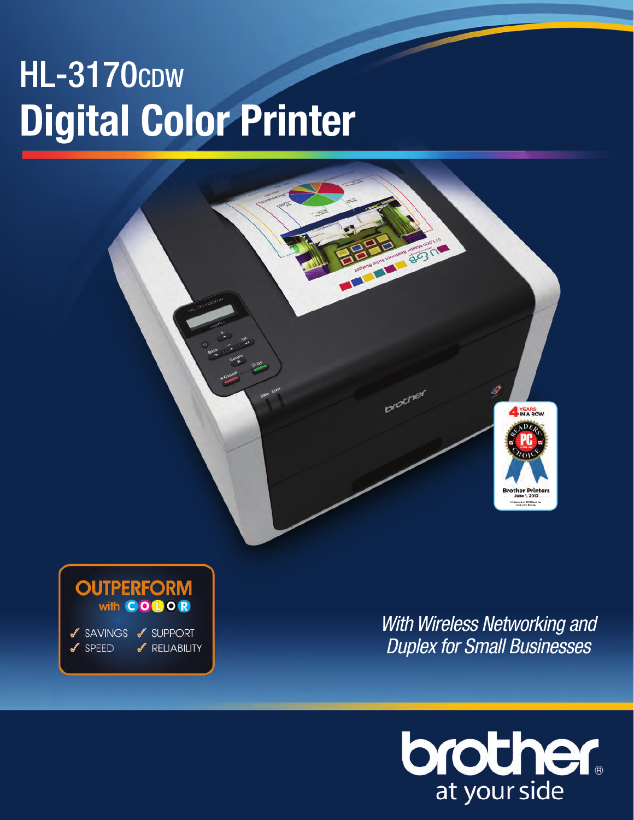# **HL-3170cpw Digital Color Printer**





✔ SPEED √ RELIABILITY *With Wireless Networking and Duplex for Small Businesses*

TEL BOOK

proting